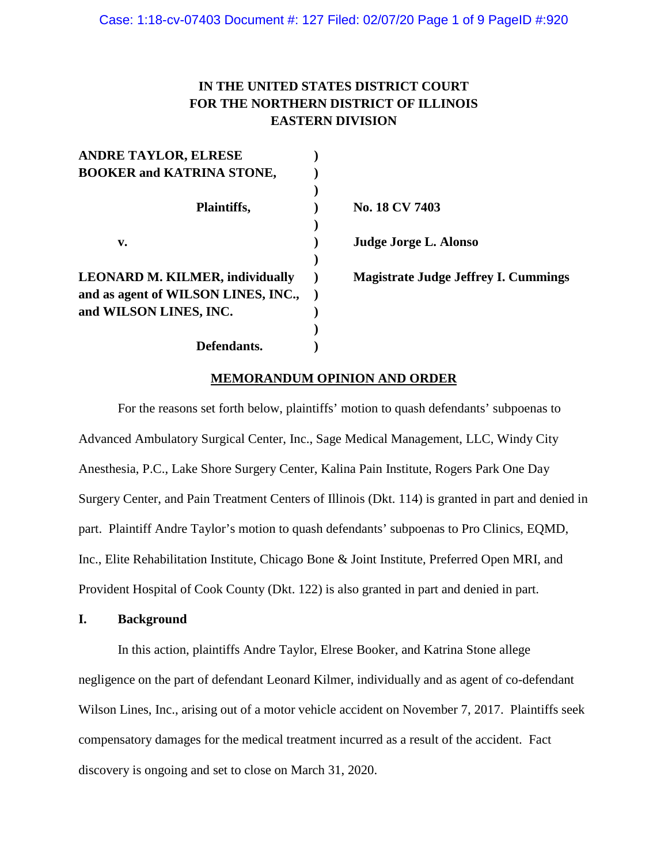# **IN THE UNITED STATES DISTRICT COURT FOR THE NORTHERN DISTRICT OF ILLINOIS EASTERN DIVISION**

| <b>ANDRE TAYLOR, ELRESE</b>            |                                             |
|----------------------------------------|---------------------------------------------|
| <b>BOOKER and KATRINA STONE,</b>       |                                             |
|                                        |                                             |
| Plaintiffs,                            | No. 18 CV 7403                              |
|                                        |                                             |
| v.                                     | Judge Jorge L. Alonso                       |
|                                        |                                             |
| <b>LEONARD M. KILMER, individually</b> | <b>Magistrate Judge Jeffrey I. Cummings</b> |
| and as agent of WILSON LINES, INC.,    |                                             |
| and WILSON LINES, INC.                 |                                             |
|                                        |                                             |
| Defendants.                            |                                             |

### **MEMORANDUM OPINION AND ORDER**

For the reasons set forth below, plaintiffs' motion to quash defendants' subpoenas to Advanced Ambulatory Surgical Center, Inc., Sage Medical Management, LLC, Windy City Anesthesia, P.C., Lake Shore Surgery Center, Kalina Pain Institute, Rogers Park One Day Surgery Center, and Pain Treatment Centers of Illinois (Dkt. 114) is granted in part and denied in part. Plaintiff Andre Taylor's motion to quash defendants' subpoenas to Pro Clinics, EQMD, Inc., Elite Rehabilitation Institute, Chicago Bone & Joint Institute, Preferred Open MRI, and Provident Hospital of Cook County (Dkt. 122) is also granted in part and denied in part.

### **I. Background**

In this action, plaintiffs Andre Taylor, Elrese Booker, and Katrina Stone allege negligence on the part of defendant Leonard Kilmer, individually and as agent of co-defendant Wilson Lines, Inc., arising out of a motor vehicle accident on November 7, 2017. Plaintiffs seek compensatory damages for the medical treatment incurred as a result of the accident. Fact discovery is ongoing and set to close on March 31, 2020.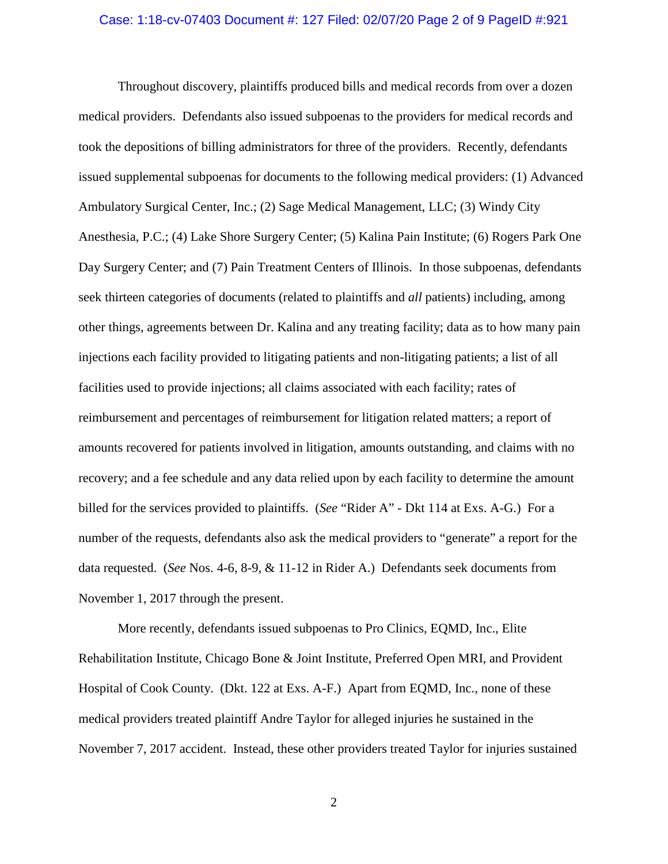### Case: 1:18-cv-07403 Document #: 127 Filed: 02/07/20 Page 2 of 9 PageID #:921

Throughout discovery, plaintiffs produced bills and medical records from over a dozen medical providers. Defendants also issued subpoenas to the providers for medical records and took the depositions of billing administrators for three of the providers. Recently, defendants issued supplemental subpoenas for documents to the following medical providers: (1) Advanced Ambulatory Surgical Center, Inc.; (2) Sage Medical Management, LLC; (3) Windy City Anesthesia, P.C.; (4) Lake Shore Surgery Center; (5) Kalina Pain Institute; (6) Rogers Park One Day Surgery Center; and (7) Pain Treatment Centers of Illinois. In those subpoenas, defendants seek thirteen categories of documents (related to plaintiffs and *all* patients) including, among other things, agreements between Dr. Kalina and any treating facility; data as to how many pain injections each facility provided to litigating patients and non-litigating patients; a list of all facilities used to provide injections; all claims associated with each facility; rates of reimbursement and percentages of reimbursement for litigation related matters; a report of amounts recovered for patients involved in litigation, amounts outstanding, and claims with no recovery; and a fee schedule and any data relied upon by each facility to determine the amount billed for the services provided to plaintiffs. (*See* "Rider A" *-* Dkt 114 at Exs. A-G.) For a number of the requests, defendants also ask the medical providers to "generate" a report for the data requested. (*See* Nos. 4-6, 8-9, & 11-12 in Rider A.) Defendants seek documents from November 1, 2017 through the present.

More recently, defendants issued subpoenas to Pro Clinics, EQMD, Inc., Elite Rehabilitation Institute, Chicago Bone & Joint Institute, Preferred Open MRI, and Provident Hospital of Cook County. (Dkt. 122 at Exs. A-F.) Apart from EQMD, Inc., none of these medical providers treated plaintiff Andre Taylor for alleged injuries he sustained in the November 7, 2017 accident. Instead, these other providers treated Taylor for injuries sustained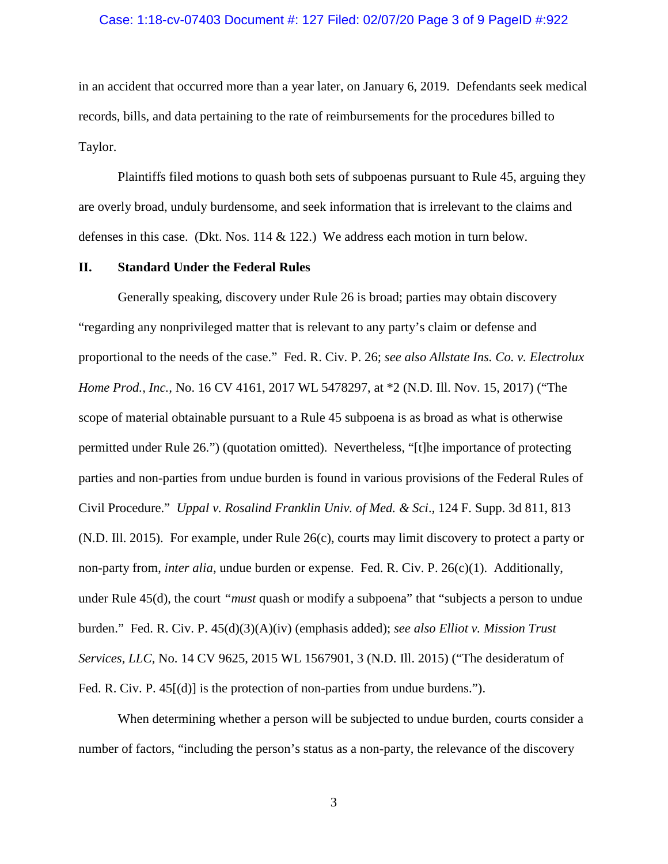### Case: 1:18-cv-07403 Document #: 127 Filed: 02/07/20 Page 3 of 9 PageID #:922

in an accident that occurred more than a year later, on January 6, 2019. Defendants seek medical records, bills, and data pertaining to the rate of reimbursements for the procedures billed to Taylor.

Plaintiffs filed motions to quash both sets of subpoenas pursuant to Rule 45, arguing they are overly broad, unduly burdensome, and seek information that is irrelevant to the claims and defenses in this case. (Dkt. Nos. 114 & 122.) We address each motion in turn below.

#### **II. Standard Under the Federal Rules**

Generally speaking, discovery under Rule 26 is broad; parties may obtain discovery "regarding any nonprivileged matter that is relevant to any party's claim or defense and proportional to the needs of the case." Fed. R. Civ. P. 26; *see also Allstate Ins. Co. v. Electrolux Home Prod., Inc.,* No. 16 CV 4161, 2017 WL 5478297, at \*2 (N.D. Ill. Nov. 15, 2017) ("The scope of material obtainable pursuant to a Rule 45 subpoena is as broad as what is otherwise permitted under Rule 26.") (quotation omitted). Nevertheless, "[t]he importance of protecting parties and non-parties from undue burden is found in various provisions of the Federal Rules of Civil Procedure." *Uppal v. Rosalind Franklin Univ. of Med. & Sci*., 124 F. Supp. 3d 811, 813 (N.D. Ill. 2015). For example, under Rule 26(c), courts may limit discovery to protect a party or non-party from, *inter alia*, undue burden or expense. Fed. R. Civ. P. 26(c)(1). Additionally, under Rule 45(d), the court *"must* quash or modify a subpoena" that "subjects a person to undue burden." Fed. R. Civ. P. 45(d)(3)(A)(iv) (emphasis added); *see also Elliot v. Mission Trust Services, LLC,* No. 14 CV 9625, 2015 WL 1567901, 3 (N.D. Ill. 2015) ("The desideratum of Fed. R. Civ. P.  $45[(d)]$  is the protection of non-parties from undue burdens.").

When determining whether a person will be subjected to undue burden, courts consider a number of factors, "including the person's status as a non-party, the relevance of the discovery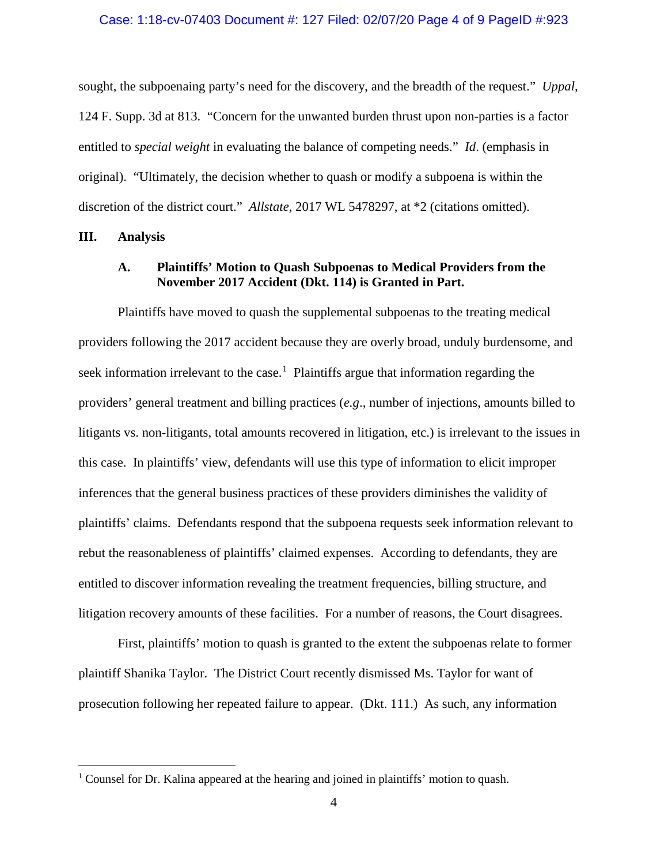### Case: 1:18-cv-07403 Document #: 127 Filed: 02/07/20 Page 4 of 9 PageID #:923

sought, the subpoenaing party's need for the discovery, and the breadth of the request." *Uppal*, 124 F. Supp. 3d at 813. "Concern for the unwanted burden thrust upon non-parties is a factor entitled to *special weight* in evaluating the balance of competing needs." *Id*. (emphasis in original). "Ultimately, the decision whether to quash or modify a subpoena is within the discretion of the district court." *Allstate*, 2017 WL 5478297, at \*2 (citations omitted).

### **III. Analysis**

### **A. Plaintiffs' Motion to Quash Subpoenas to Medical Providers from the November 2017 Accident (Dkt. 114) is Granted in Part.**

Plaintiffs have moved to quash the supplemental subpoenas to the treating medical providers following the 2017 accident because they are overly broad, unduly burdensome, and seek information irrelevant to the case.<sup>[1](#page-3-0)</sup> Plaintiffs argue that information regarding the providers' general treatment and billing practices (*e.g*., number of injections, amounts billed to litigants vs. non-litigants, total amounts recovered in litigation, etc.) is irrelevant to the issues in this case. In plaintiffs' view, defendants will use this type of information to elicit improper inferences that the general business practices of these providers diminishes the validity of plaintiffs' claims. Defendants respond that the subpoena requests seek information relevant to rebut the reasonableness of plaintiffs' claimed expenses. According to defendants, they are entitled to discover information revealing the treatment frequencies, billing structure, and litigation recovery amounts of these facilities. For a number of reasons, the Court disagrees.

First, plaintiffs' motion to quash is granted to the extent the subpoenas relate to former plaintiff Shanika Taylor. The District Court recently dismissed Ms. Taylor for want of prosecution following her repeated failure to appear. (Dkt. 111.) As such, any information

<span id="page-3-0"></span><sup>&</sup>lt;sup>1</sup> Counsel for Dr. Kalina appeared at the hearing and joined in plaintiffs' motion to quash.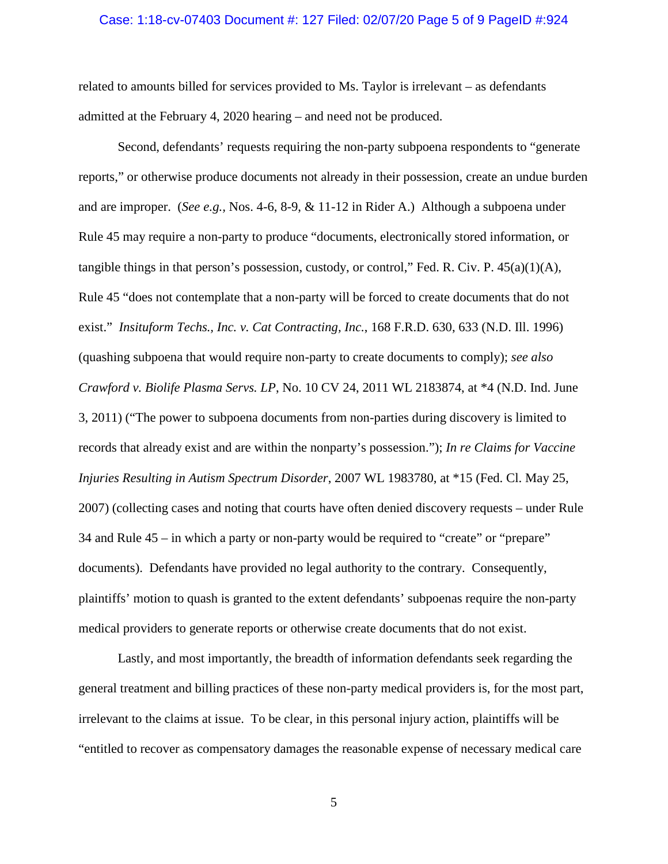### Case: 1:18-cv-07403 Document #: 127 Filed: 02/07/20 Page 5 of 9 PageID #:924

related to amounts billed for services provided to Ms. Taylor is irrelevant – as defendants admitted at the February 4, 2020 hearing – and need not be produced.

Second, defendants' requests requiring the non-party subpoena respondents to "generate reports," or otherwise produce documents not already in their possession, create an undue burden and are improper. (*See e.g.,* Nos. 4-6, 8-9, & 11-12 in Rider A.) Although a subpoena under Rule 45 may require a non-party to produce "documents, electronically stored information, or tangible things in that person's possession, custody, or control," Fed. R. Civ. P.  $45(a)(1)(A)$ , Rule 45 "does not contemplate that a non-party will be forced to create documents that do not exist." *Insituform Techs., Inc. v. Cat Contracting, Inc.*, 168 F.R.D. 630, 633 (N.D. Ill. 1996) (quashing subpoena that would require non-party to create documents to comply); *see also Crawford v. Biolife Plasma Servs. LP*, No. 10 CV 24, 2011 WL 2183874, at \*4 (N.D. Ind. June 3, 2011) ("The power to subpoena documents from non-parties during discovery is limited to records that already exist and are within the nonparty's possession."); *In re Claims for Vaccine Injuries Resulting in Autism Spectrum Disorder*, 2007 WL 1983780, at \*15 (Fed. Cl. May 25, 2007) (collecting cases and noting that courts have often denied discovery requests – under Rule 34 and Rule 45 – in which a party or non-party would be required to "create" or "prepare" documents). Defendants have provided no legal authority to the contrary. Consequently, plaintiffs' motion to quash is granted to the extent defendants' subpoenas require the non-party medical providers to generate reports or otherwise create documents that do not exist.

Lastly, and most importantly, the breadth of information defendants seek regarding the general treatment and billing practices of these non-party medical providers is, for the most part, irrelevant to the claims at issue. To be clear, in this personal injury action, plaintiffs will be "entitled to recover as compensatory damages the reasonable expense of necessary medical care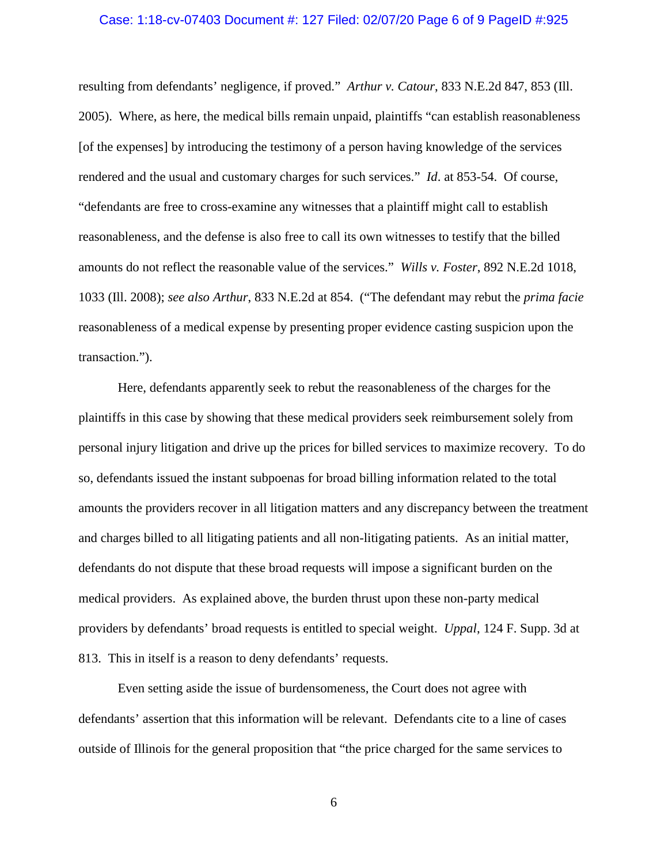### Case: 1:18-cv-07403 Document #: 127 Filed: 02/07/20 Page 6 of 9 PageID #:925

resulting from defendants' negligence, if proved." *Arthur v. Catour*, 833 N.E.2d 847, 853 (Ill. 2005). Where, as here, the medical bills remain unpaid, plaintiffs "can establish reasonableness [of the expenses] by introducing the testimony of a person having knowledge of the services rendered and the usual and customary charges for such services." *Id*. at 853-54. Of course, "defendants are free to cross-examine any witnesses that a plaintiff might call to establish reasonableness, and the defense is also free to call its own witnesses to testify that the billed amounts do not reflect the reasonable value of the services." *Wills v. Foster*, 892 N.E.2d 1018, 1033 (Ill. 2008); *see also Arthur*, 833 N.E.2d at 854. ("The defendant may rebut the *prima facie* reasonableness of a medical expense by presenting proper evidence casting suspicion upon the transaction.").

Here, defendants apparently seek to rebut the reasonableness of the charges for the plaintiffs in this case by showing that these medical providers seek reimbursement solely from personal injury litigation and drive up the prices for billed services to maximize recovery. To do so, defendants issued the instant subpoenas for broad billing information related to the total amounts the providers recover in all litigation matters and any discrepancy between the treatment and charges billed to all litigating patients and all non-litigating patients. As an initial matter, defendants do not dispute that these broad requests will impose a significant burden on the medical providers. As explained above, the burden thrust upon these non-party medical providers by defendants' broad requests is entitled to special weight. *Uppal*, 124 F. Supp. 3d at 813. This in itself is a reason to deny defendants' requests.

Even setting aside the issue of burdensomeness, the Court does not agree with defendants' assertion that this information will be relevant. Defendants cite to a line of cases outside of Illinois for the general proposition that "the price charged for the same services to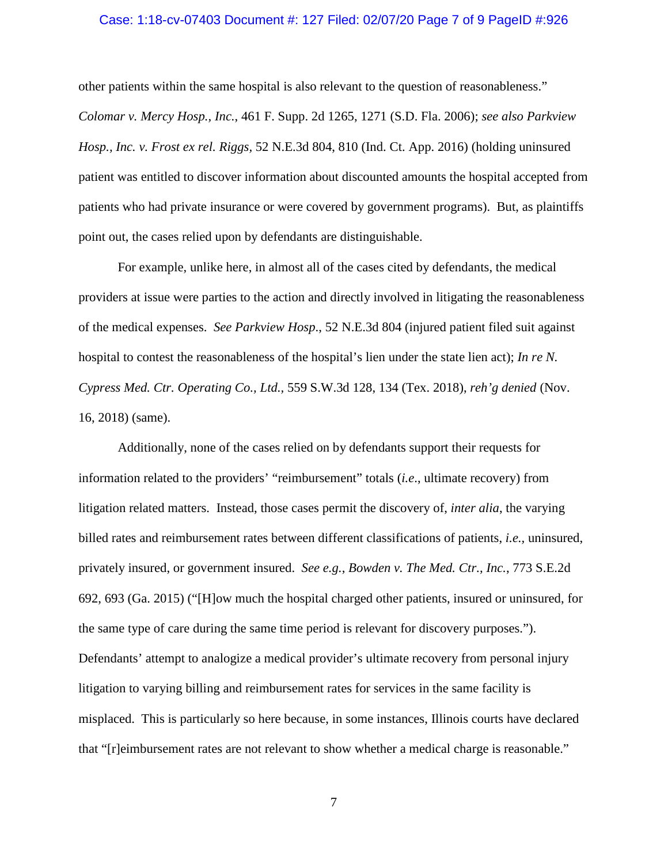### Case: 1:18-cv-07403 Document #: 127 Filed: 02/07/20 Page 7 of 9 PageID #:926

other patients within the same hospital is also relevant to the question of reasonableness." *Colomar v. Mercy Hosp., Inc.*, 461 F. Supp. 2d 1265, 1271 (S.D. Fla. 2006); *see also Parkview Hosp., Inc. v. Frost ex rel. Riggs,* 52 N.E.3d 804, 810 (Ind. Ct. App. 2016) (holding uninsured patient was entitled to discover information about discounted amounts the hospital accepted from patients who had private insurance or were covered by government programs). But, as plaintiffs point out, the cases relied upon by defendants are distinguishable.

For example, unlike here, in almost all of the cases cited by defendants, the medical providers at issue were parties to the action and directly involved in litigating the reasonableness of the medical expenses. *See Parkview Hosp*., 52 N.E.3d 804 (injured patient filed suit against hospital to contest the reasonableness of the hospital's lien under the state lien act); *In re N. Cypress Med. Ctr. Operating Co., Ltd.,* 559 S.W.3d 128, 134 (Tex. 2018), *reh'g denied* (Nov. 16, 2018) (same).

Additionally, none of the cases relied on by defendants support their requests for information related to the providers' "reimbursement" totals (*i.e*., ultimate recovery) from litigation related matters. Instead, those cases permit the discovery of, *inter alia*, the varying billed rates and reimbursement rates between different classifications of patients, *i.e.,* uninsured, privately insured, or government insured. *See e.g.*, *Bowden v. The Med. Ctr., Inc.*, 773 S.E.2d 692, 693 (Ga. 2015) ("[H]ow much the hospital charged other patients, insured or uninsured, for the same type of care during the same time period is relevant for discovery purposes."). Defendants' attempt to analogize a medical provider's ultimate recovery from personal injury litigation to varying billing and reimbursement rates for services in the same facility is misplaced. This is particularly so here because, in some instances, Illinois courts have declared that "[r]eimbursement rates are not relevant to show whether a medical charge is reasonable."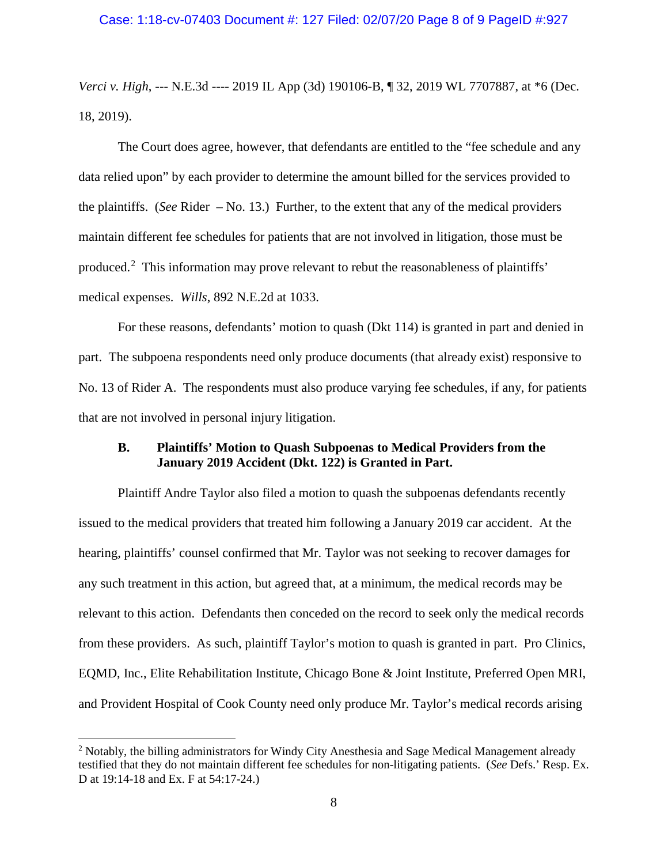*Verci v. High*, --- N.E.3d ---- 2019 IL App (3d) 190106-B, ¶ 32, 2019 WL 7707887, at \*6 (Dec. 18, 2019).

The Court does agree, however, that defendants are entitled to the "fee schedule and any data relied upon" by each provider to determine the amount billed for the services provided to the plaintiffs. (*See* Rider – No. 13.) Further, to the extent that any of the medical providers maintain different fee schedules for patients that are not involved in litigation, those must be produced.<sup>[2](#page-7-0)</sup> This information may prove relevant to rebut the reasonableness of plaintiffs' medical expenses. *Wills*, 892 N.E.2d at 1033.

For these reasons, defendants' motion to quash (Dkt 114) is granted in part and denied in part. The subpoena respondents need only produce documents (that already exist) responsive to No. 13 of Rider A. The respondents must also produce varying fee schedules, if any, for patients that are not involved in personal injury litigation.

## **B. Plaintiffs' Motion to Quash Subpoenas to Medical Providers from the January 2019 Accident (Dkt. 122) is Granted in Part.**

Plaintiff Andre Taylor also filed a motion to quash the subpoenas defendants recently issued to the medical providers that treated him following a January 2019 car accident. At the hearing, plaintiffs' counsel confirmed that Mr. Taylor was not seeking to recover damages for any such treatment in this action, but agreed that, at a minimum, the medical records may be relevant to this action. Defendants then conceded on the record to seek only the medical records from these providers. As such, plaintiff Taylor's motion to quash is granted in part. Pro Clinics, EQMD, Inc., Elite Rehabilitation Institute, Chicago Bone & Joint Institute, Preferred Open MRI, and Provident Hospital of Cook County need only produce Mr. Taylor's medical records arising

<span id="page-7-0"></span><sup>&</sup>lt;sup>2</sup> Notably, the billing administrators for Windy City Anesthesia and Sage Medical Management already testified that they do not maintain different fee schedules for non-litigating patients. (*See* Defs.' Resp. Ex. D at 19:14-18 and Ex. F at 54:17-24.)